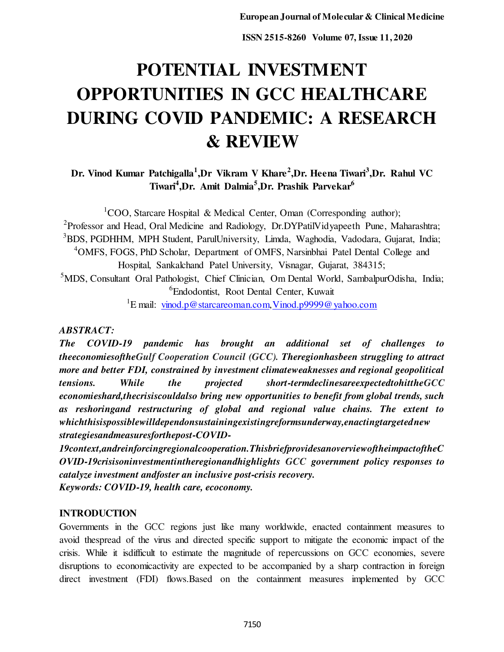# **POTENTIAL INVESTMENT OPPORTUNITIES IN GCC HEALTHCARE DURING COVID PANDEMIC: A RESEARCH & REVIEW**

**Dr. Vinod Kumar Patchigalla<sup>1</sup> ,Dr Vikram V Khare<sup>2</sup> ,Dr. Heena Tiwari<sup>3</sup> ,Dr. Rahul VC Tiwari<sup>4</sup> ,Dr. Amit Dalmia<sup>5</sup> ,Dr. Prashik Parvekar<sup>6</sup>**

<sup>1</sup>COO, Starcare Hospital & Medical Center, Oman (Corresponding author); <sup>2</sup> Professor and Head, Oral Medicine and Radiology, Dr.DYPatilVidyapeeth Pune, Maharashtra; <sup>3</sup>BDS, PGDHHM, MPH Student, ParulUniversity, Limda, Waghodia, Vadodara, Gujarat, India; <sup>4</sup>OMFS, FOGS, PhD Scholar, Department of OMFS, Narsinbhai Patel Dental College and Hospital, Sankalchand Patel University, Visnagar, Gujarat, 384315; <sup>5</sup>MDS, Consultant Oral Pathologist, Chief Clinician, Om Dental World, SambalpurOdisha, India;

<sup>6</sup>Endodontist, Root Dental Center, Kuwait

<sup>1</sup>E mail: [vinod.p@starcareoman.com,](mailto:vinod.p@starcareoman.com) [Vinod.p9999@yahoo.com](mailto:Vinod.p9999@yahoo.com)

## *ABSTRACT:*

*The COVID-19 pandemic has brought an additional set of challenges to theeconomiesoftheGulf Cooperation Council (GCC). Theregionhasbeen struggling to attract more and better FDI, constrained by investment climateweaknesses and regional geopolitical tensions. While the projected short-termdeclinesareexpectedtohittheGCC economieshard,thecrisiscouldalso bring new opportunities to benefit from global trends, such as reshoringand restructuring of global and regional value chains. The extent to whichthisispossiblewilldependonsustainingexistingreformsunderway,enactingtargetednew strategiesandmeasuresforthepost-COVID-*

*19context,andreinforcingregionalcooperation.ThisbriefprovidesanoverviewoftheimpactoftheC OVID-19crisisoninvestmentintheregionandhighlights GCC government policy responses to catalyze investment andfoster an inclusive post-crisis recovery. Keywords: COVID-19, health care, ecoconomy.* 

## **INTRODUCTION**

Governments in the GCC regions just like many worldwide, enacted containment measures to avoid thespread of the virus and directed specific support to mitigate the economic impact of the crisis. While it isdifficult to estimate the magnitude of repercussions on GCC economies, severe disruptions to economicactivity are expected to be accompanied by a sharp contraction in foreign direct investment (FDI) flows.Based on the containment measures implemented by GCC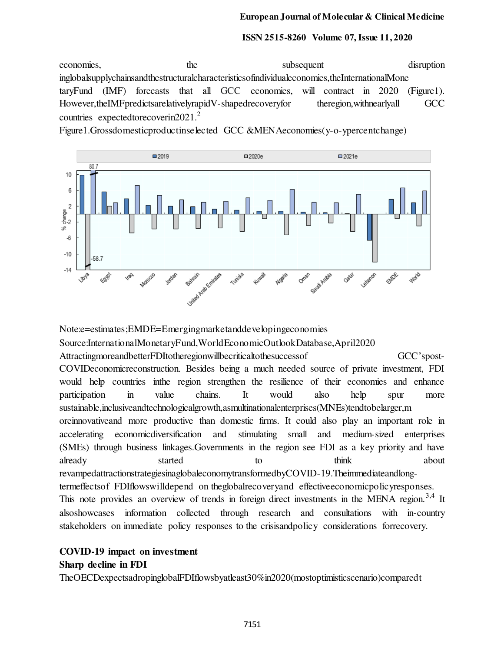#### **European Journal of Molecular & Clinical Medicine**

#### **ISSN 2515-8260 Volume 07, Issue 11, 2020**

economies, the subsequent disruption inglobalsupplychainsandthestructuralcharacteristicsofindividualeconomies,theInternationalMone taryFund (IMF) forecasts that all GCC economies, will contract in 2020 (Figure1). However,theIMFpredictsarelativelyrapidV-shapedrecoveryfor theregion, with nearly all GCC countries expected to recovering 2021.<sup>2</sup>

Figure1.Grossdomesticproductinselected GCC &MENAeconomies(y-o-ypercentchange)



Note:e=estimates;EMDE=Emergingmarketanddevelopingeconomies Source:InternationalMonetaryFund,WorldEconomicOutlookDatabase,April2020 AttractingmoreandbetterFDItotheregionwillbecriticaltothesuccessof GCC'spost-COVIDeconomicreconstruction. Besides being a much needed source of private investment, FDI would help countries inthe region strengthen the resilience of their economies and enhance participation in value chains. It would also help spur more sustainable,inclusiveandtechnologicalgrowth,asmultinationalenterprises(MNEs)tendtobelarger,m oreinnovativeand more productive than domestic firms. It could also play an important role in accelerating economicdiversification and stimulating small and medium-sized enterprises (SMEs) through business linkages.Governments in the region see FDI as a key priority and have already started to think about revampedattractionstrategiesinaglobaleconomytransformedbyCOVID-19.Theimmediateandlongtermeffectsof FDIflowswilldepend on theglobalrecoveryand effectiveeconomicpolicyresponses. This note provides an overview of trends in foreign direct investments in the MENA region.<sup>3,4</sup> It alsoshowcases information collected through research and consultations with in-country stakeholders on immediate policy responses to the crisisandpolicy considerations forrecovery.

# **COVID-19 impact on investment Sharp decline in FDI**

TheOECDexpectsadropinglobalFDIflowsbyatleast30%in2020(mostoptimisticscenario)comparedt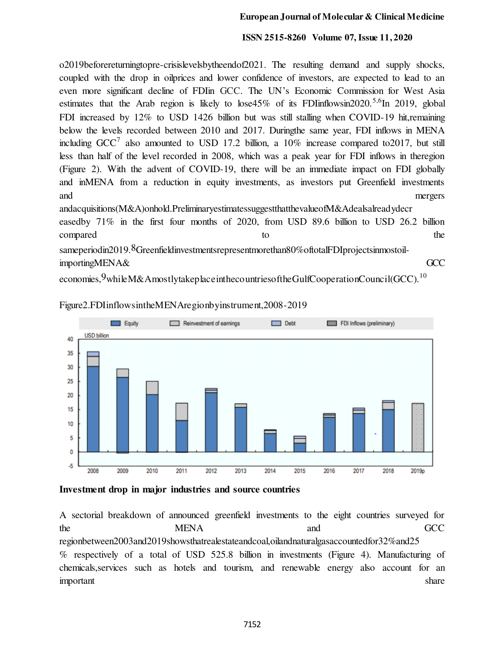o2019beforereturningtopre-crisislevelsbytheendof2021. The resulting demand and supply shocks, coupled with the drop in oilprices and lower confidence of investors, are expected to lead to an even more significant decline of FDIin GCC. The UN's Economic Commission for West Asia estimates that the Arab region is likely to lose45% of its FDIinflowsin2020.<sup>5,6</sup>In 2019, global FDI increased by 12% to USD 1426 billion but was still stalling when COVID-19 hit,remaining below the levels recorded between 2010 and 2017. Duringthe same year, FDI inflows in MENA including  $GCC^7$  also amounted to USD 17.2 billion, a 10% increase compared to 2017, but still less than half of the level recorded in 2008, which was a peak year for FDI inflows in theregion (Figure 2). With the advent of COVID-19, there will be an immediate impact on FDI globally and inMENA from a reduction in equity investments, as investors put Greenfield investments and mergers andacquisitions(M&A)onhold.PreliminaryestimatessuggestthatthevalueofM&Adealsalreadydecr easedby 71% in the first four months of 2020, from USD 89.6 billion to USD 26.2 billion

compared to the compared to the set of the set of the set of the set of the set of the set of the set of the set of the set of the set of the set of the set of the set of the set of the set of the set of the set of the set

sameperiodin2019.<sup>8</sup>Greenfieldinvestmentsrepresentmorethan80%oftotalFDIprojectsinmostoilimportingMENA& GCC

economies, 9whileM&AmostlytakeplaceinthecountriesoftheGulfCooperationCouncil(GCC).<sup>10</sup>



Figure2.FDIinflowsintheMENAregionbyinstrument,2008-2019

**Investment drop in major industries and source countries** 

A sectorial breakdown of announced greenfield investments to the eight countries surveyed for the MENA and GCC regionbetween2003and2019showsthatrealestateandcoal,oilandnaturalgasaccountedfor32%and25 % respectively of a total of USD 525.8 billion in investments (Figure 4). Manufacturing of chemicals,services such as hotels and tourism, and renewable energy also account for an important share share share share share share share share share share share share share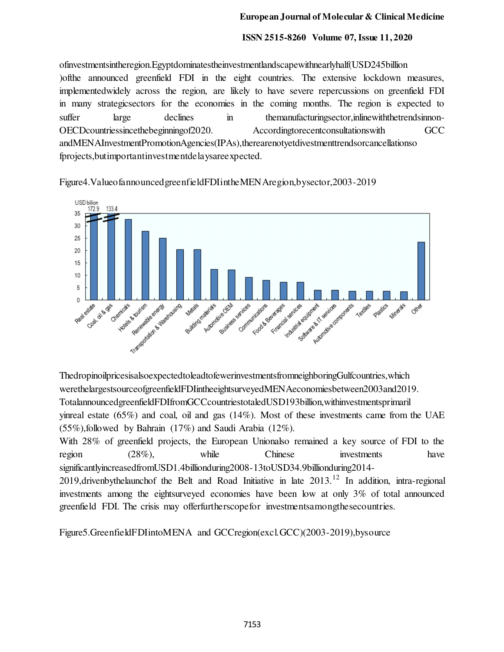ofinvestmentsintheregion.Egyptdominatestheinvestmentlandscapewithnearlyhalf(USD245billion )ofthe announced greenfield FDI in the eight countries. The extensive lockdown measures, implementedwidely across the region, are likely to have severe repercussions on greenfield FDI in many strategicsectors for the economies in the coming months. The region is expected to suffer large declines in themanufacturingsector, inlinewith the trendsinnon-OECDcountriessincethebeginningof2020. Accordingtorecentconsultationswith GCC andMENAInvestmentPromotionAgencies(IPAs),therearenotyetdivestmenttrendsorcancellationso fprojects,butimportantinvestmentdelaysareexpected.

Figure4.ValueofannouncedgreenfieldFDIintheMENAregion,bysector,2003-2019



ThedropinoilpricesisalsoexpectedtoleadtofewerinvestmentsfromneighboringGulfcountries,which werethelargestsourceofgreenfieldFDIintheeightsurveyedMENAeconomiesbetween2003and2019. TotalannouncedgreenfieldFDIfromGCCcountriestotaledUSD193billion,withinvestmentsprimaril yinreal estate  $(65\%)$  and coal, oil and gas  $(14\%)$ . Most of these investments came from the UAE (55%),followed by Bahrain (17%) and Saudi Arabia (12%). With 28% of greenfield projects, the European Unionalso remained a key source of FDI to the region (28%), while Chinese investments have significantlyincreasedfromUSD1.4billionduring2008-13toUSD34.9billionduring2014- 2019,drivenbythelaunchof the Belt and Road Initiative in late 2013.<sup>12</sup> In addition, intra-regional investments among the eightsurveyed economies have been low at only 3% of total announced greenfield FDI. The crisis may offerfurtherscopefor investmentsamongthesecountries.

Figure5.GreenfieldFDIintoMENA and GCCregion(excl.GCC)(2003-2019),bysource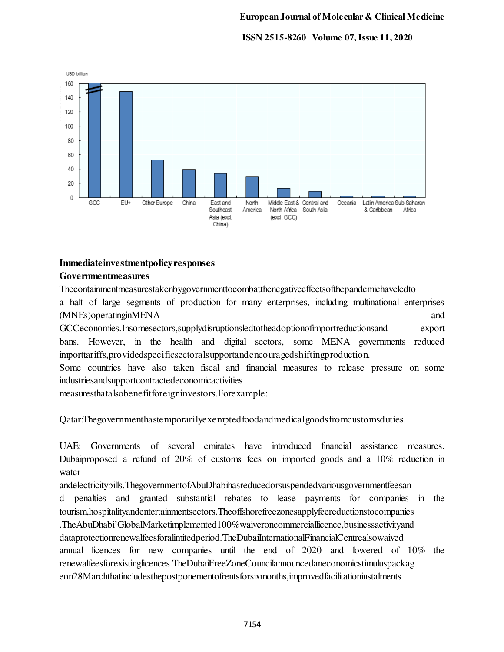

## **Immediateinvestmentpolicyresponses Governmentmeasures**

Thecontainmentmeasurestakenbygovernmenttocombatthenegativeeffectsofthepandemichaveledto a halt of large segments of production for many enterprises, including multinational enterprises (MNEs)operatinginMENA and GCCeconomies.Insomesectors,supplydisruptionsledtotheadoptionofimportreductionsand export bans. However, in the health and digital sectors, some MENA governments reduced importtariffs,providedspecificsectoralsupportandencouragedshiftingproduction. Some countries have also taken fiscal and financial measures to release pressure on some

industriesandsupportcontractedeconomicactivities–

measuresthatalsobenefitforeigninvestors.Forexample:

Qatar:Thegovernmenthastemporarilyexemptedfoodandmedicalgoodsfromcustomsduties.

UAE: Governments of several emirates have introduced financial assistance measures. Dubaiproposed a refund of 20% of customs fees on imported goods and a 10% reduction in water

andelectricitybills.ThegovernmentofAbuDhabihasreducedorsuspendedvariousgovernmentfeesan

d penalties and granted substantial rebates to lease payments for companies in the tourism,hospitalityandentertainmentsectors.Theoffshorefreezonesapplyfeereductionstocompanies .TheAbuDhabi'GlobalMarketimplemented100%waiveroncommerciallicence,businessactivityand dataprotectionrenewalfeesforalimitedperiod.TheDubaiInternationalFinancialCentrealsowaived annual licences for new companies until the end of 2020 and lowered of 10% the renewalfeesforexistinglicences.TheDubaiFreeZoneCouncilannouncedaneconomicstimuluspackag eon28Marchthatincludesthepostponementofrentsforsixmonths,improvedfacilitationinstalments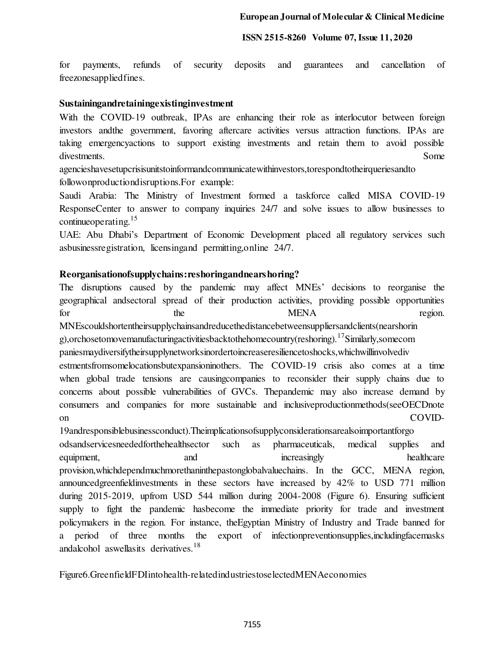for payments, refunds of security deposits and guarantees and cancellation of freezonesappliedfines.

## **Sustainingandretainingexistinginvestment**

With the COVID-19 outbreak, IPAs are enhancing their role as interlocutor between foreign investors andthe government, favoring aftercare activities versus attraction functions. IPAs are taking emergencyactions to support existing investments and retain them to avoid possible divestments. Some

agencieshavesetupcrisisunitstoinformandcommunicatewithinvestors,torespondtotheirqueriesandto followonproductiondisruptions.For example:

Saudi Arabia: The Ministry of Investment formed a taskforce called MISA COVID-19 ResponseCenter to answer to company inquiries 24/7 and solve issues to allow businesses to continue operating.<sup>15</sup>

UAE: Abu Dhabi's Department of Economic Development placed all regulatory services such asbusinessregistration, licensingand permitting,online 24/7.

## **Reorganisationofsupplychains:reshoringandnearshoring?**

The disruptions caused by the pandemic may affect MNEs' decisions to reorganise the geographical andsectoral spread of their production activities, providing possible opportunities for the the MENA region. MNEscouldshortentheirsupplychainsandreducethedistancebetweensuppliersandclients(nearshorin g),orchosetomovemanufacturingactivitiesbacktothehomecountry(reshoring).<sup>17</sup>Similarly,somecom paniesmaydiversifytheirsupplynetworksinordertoincreaseresiliencetoshocks,whichwillinvolvediv estmentsfromsomelocationsbutexpansioninothers. The COVID-19 crisis also comes at a time when global trade tensions are causingcompanies to reconsider their supply chains due to concerns about possible vulnerabilities of GVCs. Thepandemic may also increase demand by consumers and companies for more sustainable and inclusiveproductionmethods(seeOECDnote on COVID-

19andresponsiblebusinessconduct).Theimplicationsofsupplyconsiderationsarealsoimportantforgo odsandservicesneededforthehealthsector such as pharmaceuticals, medical supplies and equipment, and and increasingly healthcare provision,whichdependmuchmorethaninthepastonglobalvaluechains. In the GCC, MENA region, announcedgreenfieldinvestments in these sectors have increased by 42% to USD 771 million during 2015-2019, upfrom USD 544 million during 2004-2008 (Figure 6). Ensuring sufficient supply to fight the pandemic hasbecome the immediate priority for trade and investment policymakers in the region. For instance, theEgyptian Ministry of Industry and Trade banned for a period of three months the export of infectionpreventionsupplies,includingfacemasks andalcohol aswellasits derivatives.<sup>18</sup>

Figure6.GreenfieldFDIintohealth-relatedindustriestoselectedMENAeconomies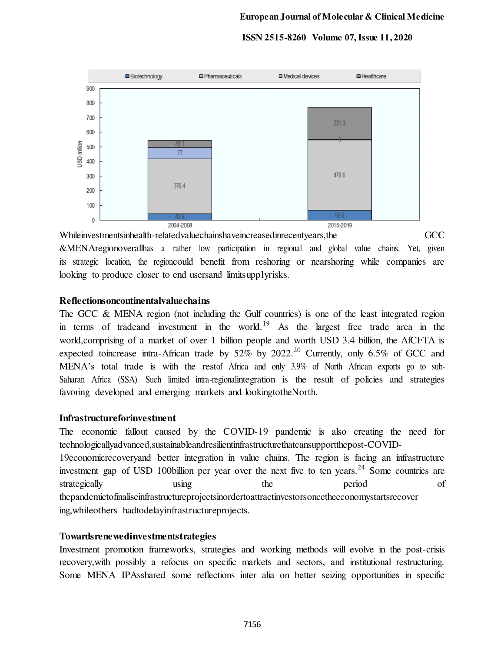

Whileinvestmentsinhealth-relatedvaluechainshaveincreasedinrecentyears,the GCC &MENAregionoverallhas a rather low participation in regional and global value chains. Yet, given its strategic location, the regioncould benefit from reshoring or nearshoring while companies are looking to produce closer to end usersand limitsupplyrisks.

## **Reflectionsoncontinentalvaluechains**

The GCC & MENA region (not including the Gulf countries) is one of the least integrated region in terms of tradeand investment in the world.<sup>19</sup> As the largest free trade area in the world,comprising of a market of over 1 billion people and worth USD 3.4 billion, the AfCFTA is expected toincrease intra-African trade by  $52\%$  by  $2022$ .<sup>20</sup> Currently, only  $6.5\%$  of GCC and MENA's total trade is with the restof Africa and only 3.9% of North African exports go to sub-Saharan Africa (SSA). Such limited intra-regionalintegration is the result of policies and strategies favoring developed and emerging markets and lookingtotheNorth.

## **Infrastructureforinvestment**

The economic fallout caused by the COVID-19 pandemic is also creating the need for technologicallyadvanced,sustainableandresilientinfrastructurethatcansupportthepost-COVID-19economicrecoveryand better integration in value chains. The region is facing an infrastructure investment gap of USD 100billion per year over the next five to ten years.<sup>24</sup> Some countries are strategically using the period of thepandemictofinaliseinfrastructureprojectsinordertoattractinvestorsoncetheeconomystartsrecover ing,whileothers hadtodelayinfrastructureprojects.

## **Towardsrenewedinvestmentstrategies**

Investment promotion frameworks, strategies and working methods will evolve in the post-crisis recovery,with possibly a refocus on specific markets and sectors, and institutional restructuring. Some MENA IPAsshared some reflections inter alia on better seizing opportunities in specific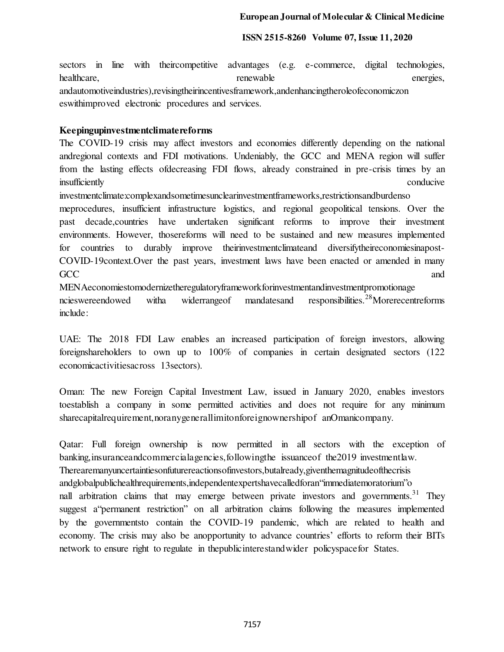sectors in line with theircompetitive advantages (e.g. e-commerce, digital technologies, healthcare, renewable energies, renewable energies, renewable andautomotiveindustries),revisingtheirincentivesframework,andenhancingtheroleofeconomiczon eswithimproved electronic procedures and services.

## **Keepingupinvestmentclimatereforms**

The COVID-19 crisis may affect investors and economies differently depending on the national andregional contexts and FDI motivations. Undeniably, the GCC and MENA region will suffer from the lasting effects ofdecreasing FDI flows, already constrained in pre-crisis times by an insufficiently conducive conducive

investmentclimate:complexandsometimesunclearinvestmentframeworks,restrictionsandburdenso

meprocedures, insufficient infrastructure logistics, and regional geopolitical tensions. Over the past decade,countries have undertaken significant reforms to improve their investment environments. However, thosereforms will need to be sustained and new measures implemented for countries to durably improve theirinvestmentclimateand diversifytheireconomiesinapost-COVID-19context.Over the past years, investment laws have been enacted or amended in many  $\rm GCC$  and  $\rm GCC$ 

MENAeconomiestomodernizetheregulatoryframeworkforinvestmentandinvestmentpromotionage ncieswereendowed witha widerrangeof mandatesand responsibilities.<sup>28</sup>Morerecentreforms include:

UAE: The 2018 FDI Law enables an increased participation of foreign investors, allowing foreignshareholders to own up to 100% of companies in certain designated sectors (122 economicactivitiesacross 13sectors).

Oman: The new Foreign Capital Investment Law, issued in January 2020, enables investors toestablish a company in some permitted activities and does not require for any minimum sharecapitalrequirement,noranygenerallimitonforeignownershipof anOmanicompany.

Qatar: Full foreign ownership is now permitted in all sectors with the exception of banking,insuranceandcommercialagencies,followingthe issuanceof the2019 investmentlaw. Therearemanyuncertaintiesonfuturereactionsofinvestors,butalready,giventhemagnitudeofthecrisis andglobalpublichealthrequirements,independentexpertshavecalledforan"immediatemoratorium"o nall arbitration claims that may emerge between private investors and governments.<sup>31</sup> They suggest a"permanent restriction" on all arbitration claims following the measures implemented by the governmentsto contain the COVID-19 pandemic, which are related to health and economy. The crisis may also be anopportunity to advance countries' efforts to reform their BITs network to ensure right to regulate in thepublicinterestandwider policyspacefor States.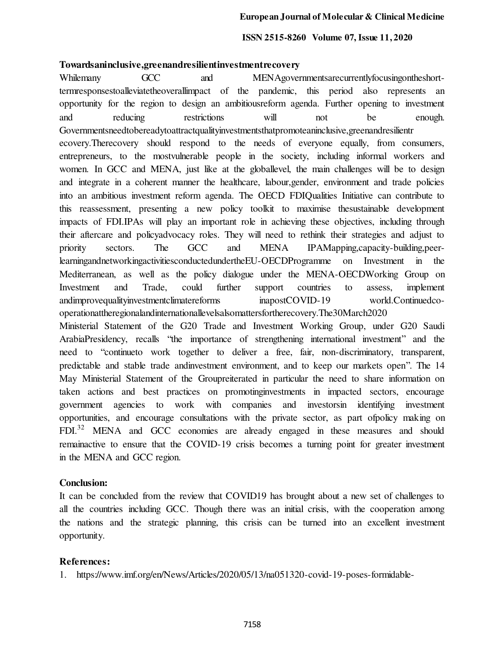### **Towardsaninclusive,greenandresilientinvestmentrecovery**

Whilemany GCC and MENAgovernmentsarecurrentlyfocusingontheshorttermresponsestoalleviatetheoverallimpact of the pandemic, this period also represents an opportunity for the region to design an ambitiousreform agenda. Further opening to investment and reducing restrictions will not be enough. Governmentsneedtobereadytoattractqualityinvestmentsthatpromoteaninclusive,greenandresilientr ecovery.Therecovery should respond to the needs of everyone equally, from consumers, entrepreneurs, to the mostvulnerable people in the society, including informal workers and women. In GCC and MENA, just like at the globallevel, the main challenges will be to design and integrate in a coherent manner the healthcare, labour,gender, environment and trade policies into an ambitious investment reform agenda. The OECD FDIQualities Initiative can contribute to this reassessment, presenting a new policy toolkit to maximise thesustainable development impacts of FDI.IPAs will play an important role in achieving these objectives, including through their aftercare and policyadvocacy roles. They will need to rethink their strategies and adjust to priority sectors. The GCC and MENA IPAMapping,capacity-building,peerlearningandnetworkingactivitiesconductedundertheEU-OECDProgramme on Investment in the Mediterranean, as well as the policy dialogue under the MENA-OECDWorking Group on Investment and Trade, could further support countries to assess, implement andimprovequalityinvestmentclimatereforms inapostCOVID-19 world.Continuedcooperationattheregionalandinternationallevelsalsomattersfortherecovery.The30March2020 Ministerial Statement of the G20 Trade and Investment Working Group, under G20 Saudi

ArabiaPresidency, recalls "the importance of strengthening international investment" and the need to "continueto work together to deliver a free, fair, non-discriminatory, transparent, predictable and stable trade andinvestment environment, and to keep our markets open". The 14 May Ministerial Statement of the Groupreiterated in particular the need to share information on taken actions and best practices on promotinginvestments in impacted sectors, encourage government agencies to work with companies and investorsin identifying investment opportunities, and encourage consultations with the private sector, as part ofpolicy making on FDI.<sup>32</sup> MENA and GCC economies are already engaged in these measures and should remainactive to ensure that the COVID-19 crisis becomes a turning point for greater investment in the MENA and GCC region.

## **Conclusion:**

It can be concluded from the review that COVID19 has brought about a new set of challenges to all the countries including GCC. Though there was an initial crisis, with the cooperation among the nations and the strategic planning, this crisis can be turned into an excellent investment opportunity.

## **References:**

1. https://www.imf.org/en/News/Articles/2020/05/13/na051320-covid-19-poses-formidable-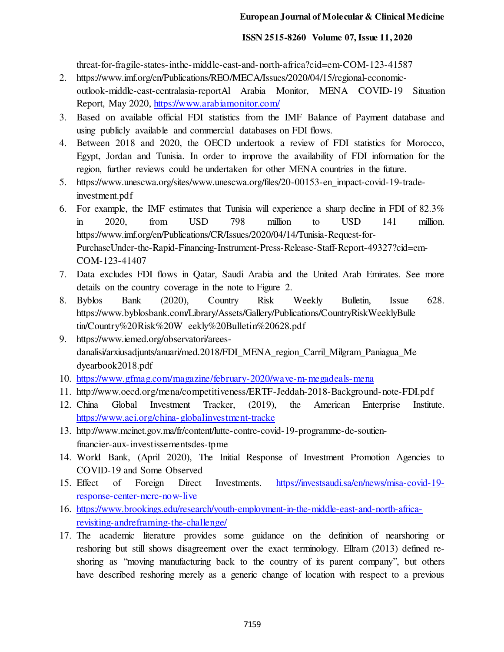threat-for-fragile-states-inthe-middle-east-and-north-africa?cid=em-COM-123-41587

- 2. https://www.imf.org/en/Publications/REO/MECA/Issues/2020/04/15/regional-economicoutlook-middle-east-centralasia-reportAl Arabia Monitor, MENA COVID-19 Situation Report, May 2020,<https://www.arabiamonitor.com/>
- 3. Based on available official FDI statistics from the IMF Balance of Payment database and using publicly available and commercial databases on FDI flows.
- 4. Between 2018 and 2020, the OECD undertook a review of FDI statistics for Morocco, Egypt, Jordan and Tunisia. In order to improve the availability of FDI information for the region, further reviews could be undertaken for other MENA countries in the future.
- 5. https://www.unescwa.org/sites/www.unescwa.org/files/20-00153-en\_impact-covid-19-tradeinvestment.pdf
- 6. For example, the IMF estimates that Tunisia will experience a sharp decline in FDI of 82.3% in 2020, from USD 798 million to USD 141 million. https://www.imf.org/en/Publications/CR/Issues/2020/04/14/Tunisia-Request-for-PurchaseUnder-the-Rapid-Financing-Instrument-Press-Release-Staff-Report-49327?cid=em-COM-123-41407
- 7. Data excludes FDI flows in Qatar, Saudi Arabia and the United Arab Emirates. See more details on the country coverage in the note to Figure 2.
- 8. Byblos Bank (2020), Country Risk Weekly Bulletin, Issue 628. https://www.byblosbank.com/Library/Assets/Gallery/Publications/CountryRiskWeeklyBulle tin/Country%20Risk%20W eekly%20Bulletin%20628.pdf
- 9. https://www.iemed.org/observatori/areesdanalisi/arxiusadjunts/anuari/med.2018/FDI\_MENA\_region\_Carril\_Milgram\_Paniagua\_Me dyearbook2018.pdf
- 10. <https://www.gfmag.com/magazine/february-2020/wave-m-megadeals-mena>
- 11. http://www.oecd.org/mena/competitiveness/ERTF-Jeddah-2018-Background-note-FDI.pdf
- 12. China Global Investment Tracker, (2019), the American Enterprise Institute. <https://www.aei.org/china-globalinvestment-tracke>
- 13. http://www.mcinet.gov.ma/fr/content/lutte-contre-covid-19-programme-de-soutienfinancier-aux-investissementsdes-tpme
- 14. World Bank, (April 2020), The Initial Response of Investment Promotion Agencies to COVID-19 and Some Observed
- 15. Effect of Foreign Direct Investments[. https://investsaudi.sa/en/news/misa-covid-19](https://investsaudi.sa/en/news/misa-covid-19-response-center-mcrc-now-live) [response-center-mcrc-now-live](https://investsaudi.sa/en/news/misa-covid-19-response-center-mcrc-now-live)
- 16. [https://www.brookings.edu/research/youth-employment-in-the-middle-east-and-north-africa](https://www.brookings.edu/research/youth-employment-in-the-middle-east-and-north-africa-revisiting-andreframing-the-challenge/)[revisiting-andreframing-the-challenge/](https://www.brookings.edu/research/youth-employment-in-the-middle-east-and-north-africa-revisiting-andreframing-the-challenge/)
- 17. The academic literature provides some guidance on the definition of nearshoring or reshoring but still shows disagreement over the exact terminology. Ellram (2013) defined reshoring as "moving manufacturing back to the country of its parent company", but others have described reshoring merely as a generic change of location with respect to a previous